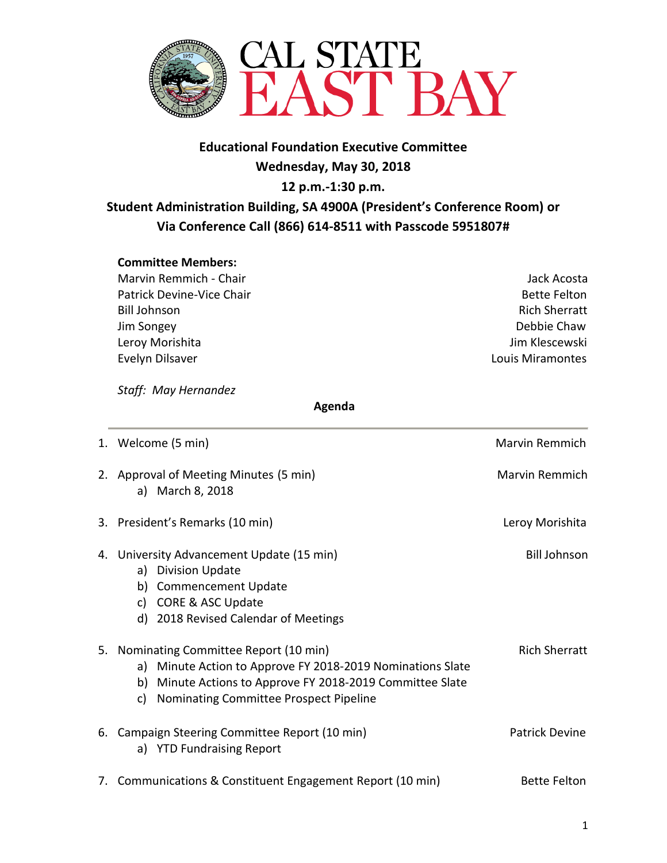

# **Educational Foundation Executive Committee Wednesday, May 30, 2018 12 p.m.-1:30 p.m. Student Administration Building, SA 4900A (President's Conference Room) or Via Conference Call (866) 614-8511 with Passcode 5951807#**

#### **Committee Members:**

Marvin Remmich - Chair Jack Acosta Patrick Devine-Vice Chair **Bette Felton** Bette Felton Bill Johnson Rich Sherratt Jim Songey Debbie Chaw Leroy Morishita **Jim Klescewski** Evelyn Dilsaver Louis Miramontes

*Staff: May Hernandez* 

 **Agenda**

|    | 1. Welcome (5 min)                                                                                                                                                                                                    | Marvin Remmich        |
|----|-----------------------------------------------------------------------------------------------------------------------------------------------------------------------------------------------------------------------|-----------------------|
|    | 2. Approval of Meeting Minutes (5 min)<br>a) March 8, 2018                                                                                                                                                            | Marvin Remmich        |
|    | 3. President's Remarks (10 min)                                                                                                                                                                                       | Leroy Morishita       |
| 4. | University Advancement Update (15 min)<br><b>Division Update</b><br>a)<br><b>Commencement Update</b><br>b)<br><b>CORE &amp; ASC Update</b><br>C)<br>d) 2018 Revised Calendar of Meetings                              | <b>Bill Johnson</b>   |
| 5. | Nominating Committee Report (10 min)<br>Minute Action to Approve FY 2018-2019 Nominations Slate<br>a)<br>Minute Actions to Approve FY 2018-2019 Committee Slate<br>b)<br>Nominating Committee Prospect Pipeline<br>C) | <b>Rich Sherratt</b>  |
|    | 6. Campaign Steering Committee Report (10 min)<br>a) YTD Fundraising Report                                                                                                                                           | <b>Patrick Devine</b> |
|    | 7. Communications & Constituent Engagement Report (10 min)                                                                                                                                                            | <b>Bette Felton</b>   |